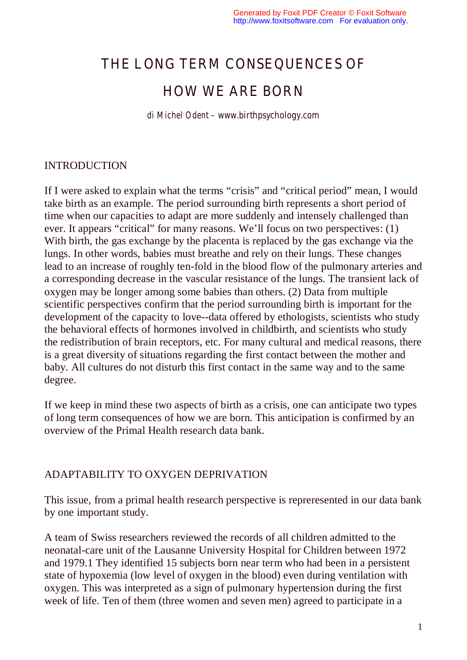# THE LONG TERM CONSEQUENCES OF

## HOW WE ARE BORN

*di Michel Odent – www.birthpsychology.com*

### INTRODUCTION

If I were asked to explain what the terms "crisis" and "critical period" mean, I would take birth as an example. The period surrounding birth represents a short period of time when our capacities to adapt are more suddenly and intensely challenged than ever. It appears "critical" for many reasons. We'll focus on two perspectives: (1) With birth, the gas exchange by the placenta is replaced by the gas exchange via the lungs. In other words, babies must breathe and rely on their lungs. These changes lead to an increase of roughly ten-fold in the blood flow of the pulmonary arteries and a corresponding decrease in the vascular resistance of the lungs. The transient lack of oxygen may be longer among some babies than others. (2) Data from multiple scientific perspectives confirm that the period surrounding birth is important for the development of the capacity to love--data offered by ethologists, scientists who study the behavioral effects of hormones involved in childbirth, and scientists who study the redistribution of brain receptors, etc. For many cultural and medical reasons, there is a great diversity of situations regarding the first contact between the mother and baby. All cultures do not disturb this first contact in the same way and to the same degree.

If we keep in mind these two aspects of birth as a crisis, one can anticipate two types of long term consequences of how we are born. This anticipation is confirmed by an overview of the Primal Health research data bank.

## ADAPTABILITY TO OXYGEN DEPRIVATION

This issue, from a primal health research perspective is repreresented in our data bank by one important study.

A team of Swiss researchers reviewed the records of all children admitted to the neonatal-care unit of the Lausanne University Hospital for Children between 1972 and 1979.1 They identified 15 subjects born near term who had been in a persistent state of hypoxemia (low level of oxygen in the blood) even during ventilation with oxygen. This was interpreted as a sign of pulmonary hypertension during the first week of life. Ten of them (three women and seven men) agreed to participate in a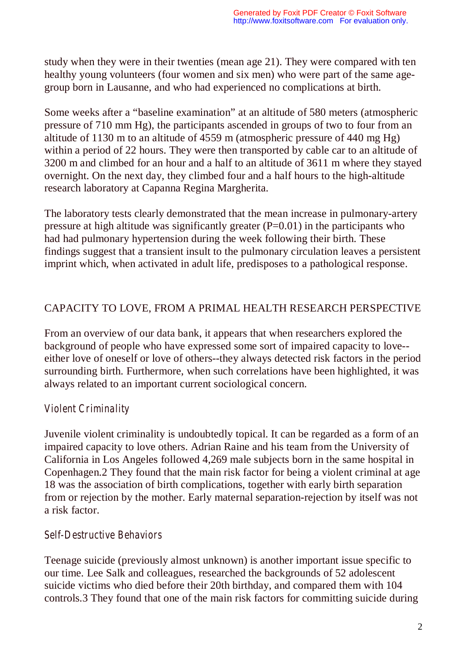study when they were in their twenties (mean age 21). They were compared with ten healthy young volunteers (four women and six men) who were part of the same agegroup born in Lausanne, and who had experienced no complications at birth.

Some weeks after a "baseline examination" at an altitude of 580 meters (atmospheric pressure of 710 mm Hg), the participants ascended in groups of two to four from an altitude of 1130 m to an altitude of 4559 m (atmospheric pressure of 440 mg Hg) within a period of 22 hours. They were then transported by cable car to an altitude of 3200 m and climbed for an hour and a half to an altitude of 3611 m where they stayed overnight. On the next day, they climbed four and a half hours to the high-altitude research laboratory at Capanna Regina Margherita.

The laboratory tests clearly demonstrated that the mean increase in pulmonary-artery pressure at high altitude was significantly greater  $(P=0.01)$  in the participants who had had pulmonary hypertension during the week following their birth. These findings suggest that a transient insult to the pulmonary circulation leaves a persistent imprint which, when activated in adult life, predisposes to a pathological response.

## CAPACITY TO LOVE, FROM A PRIMAL HEALTH RESEARCH PERSPECTIVE

From an overview of our data bank, it appears that when researchers explored the background of people who have expressed some sort of impaired capacity to love- either love of oneself or love of others--they always detected risk factors in the period surrounding birth. Furthermore, when such correlations have been highlighted, it was always related to an important current sociological concern.

## *Violent Criminality*

Juvenile violent criminality is undoubtedly topical. It can be regarded as a form of an impaired capacity to love others. Adrian Raine and his team from the University of California in Los Angeles followed 4,269 male subjects born in the same hospital in Copenhagen.2 They found that the main risk factor for being a violent criminal at age 18 was the association of birth complications, together with early birth separation from or rejection by the mother. Early maternal separation-rejection by itself was not a risk factor.

## *Self-Destructive Behaviors*

Teenage suicide (previously almost unknown) is another important issue specific to our time. Lee Salk and colleagues, researched the backgrounds of 52 adolescent suicide victims who died before their 20th birthday, and compared them with 104 controls.3 They found that one of the main risk factors for committing suicide during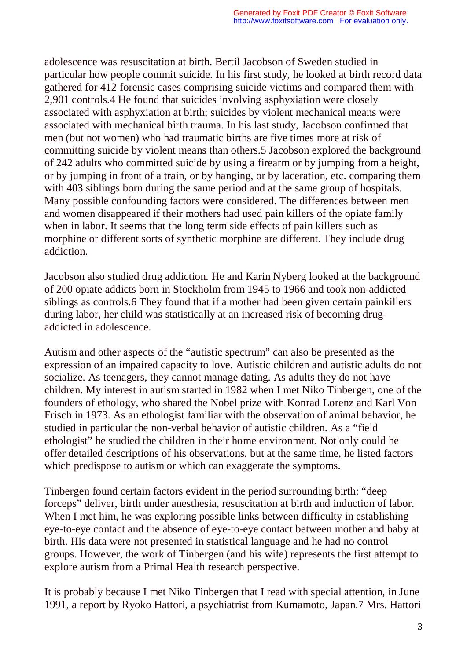adolescence was resuscitation at birth. Bertil Jacobson of Sweden studied in particular how people commit suicide. In his first study, he looked at birth record data gathered for 412 forensic cases comprising suicide victims and compared them with 2,901 controls.4 He found that suicides involving asphyxiation were closely associated with asphyxiation at birth; suicides by violent mechanical means were associated with mechanical birth trauma. In his last study, Jacobson confirmed that men (but not women) who had traumatic births are five times more at risk of committing suicide by violent means than others.5 Jacobson explored the background of 242 adults who committed suicide by using a firearm or by jumping from a height, or by jumping in front of a train, or by hanging, or by laceration, etc. comparing them with 403 siblings born during the same period and at the same group of hospitals. Many possible confounding factors were considered. The differences between men and women disappeared if their mothers had used pain killers of the opiate family when in labor. It seems that the long term side effects of pain killers such as morphine or different sorts of synthetic morphine are different. They include drug addiction.

Jacobson also studied drug addiction. He and Karin Nyberg looked at the background of 200 opiate addicts born in Stockholm from 1945 to 1966 and took non-addicted siblings as controls.6 They found that if a mother had been given certain painkillers during labor, her child was statistically at an increased risk of becoming drugaddicted in adolescence.

Autism and other aspects of the "autistic spectrum" can also be presented as the expression of an impaired capacity to love. Autistic children and autistic adults do not socialize. As teenagers, they cannot manage dating. As adults they do not have children. My interest in autism started in 1982 when I met Niko Tinbergen, one of the founders of ethology, who shared the Nobel prize with Konrad Lorenz and Karl Von Frisch in 1973. As an ethologist familiar with the observation of animal behavior, he studied in particular the non-verbal behavior of autistic children. As a "field ethologist" he studied the children in their home environment. Not only could he offer detailed descriptions of his observations, but at the same time, he listed factors which predispose to autism or which can exaggerate the symptoms.

Tinbergen found certain factors evident in the period surrounding birth: "deep forceps" deliver, birth under anesthesia, resuscitation at birth and induction of labor. When I met him, he was exploring possible links between difficulty in establishing eye-to-eye contact and the absence of eye-to-eye contact between mother and baby at birth. His data were not presented in statistical language and he had no control groups. However, the work of Tinbergen (and his wife) represents the first attempt to explore autism from a Primal Health research perspective.

It is probably because I met Niko Tinbergen that I read with special attention, in June 1991, a report by Ryoko Hattori, a psychiatrist from Kumamoto, Japan.7 Mrs. Hattori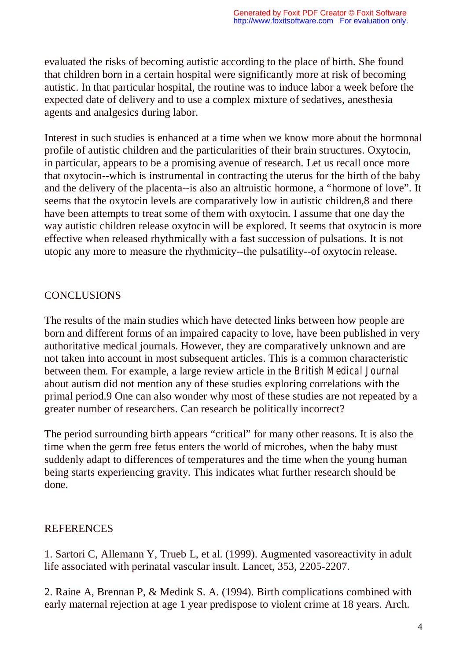evaluated the risks of becoming autistic according to the place of birth. She found that children born in a certain hospital were significantly more at risk of becoming autistic. In that particular hospital, the routine was to induce labor a week before the expected date of delivery and to use a complex mixture of sedatives, anesthesia agents and analgesics during labor.

Interest in such studies is enhanced at a time when we know more about the hormonal profile of autistic children and the particularities of their brain structures. Oxytocin, in particular, appears to be a promising avenue of research. Let us recall once more that oxytocin--which is instrumental in contracting the uterus for the birth of the baby and the delivery of the placenta--is also an altruistic hormone, a "hormone of love". It seems that the oxytocin levels are comparatively low in autistic children,8 and there have been attempts to treat some of them with oxytocin. I assume that one day the way autistic children release oxytocin will be explored. It seems that oxytocin is more effective when released rhythmically with a fast succession of pulsations. It is not utopic any more to measure the rhythmicity--the pulsatility--of oxytocin release.

### **CONCLUSIONS**

The results of the main studies which have detected links between how people are born and different forms of an impaired capacity to love, have been published in very authoritative medical journals. However, they are comparatively unknown and are not taken into account in most subsequent articles. This is a common characteristic between them. For example, a large review article in the *British Medical Journal* about autism did not mention any of these studies exploring correlations with the primal period.9 One can also wonder why most of these studies are not repeated by a greater number of researchers. Can research be politically incorrect?

The period surrounding birth appears "critical" for many other reasons. It is also the time when the germ free fetus enters the world of microbes, when the baby must suddenly adapt to differences of temperatures and the time when the young human being starts experiencing gravity. This indicates what further research should be done.

#### **REFERENCES**

1. Sartori C, Allemann Y, Trueb L, et al. (1999). Augmented vasoreactivity in adult life associated with perinatal vascular insult. Lancet, 353, 2205-2207.

2. Raine A, Brennan P, & Medink S. A. (1994). Birth complications combined with early maternal rejection at age 1 year predispose to violent crime at 18 years. Arch.